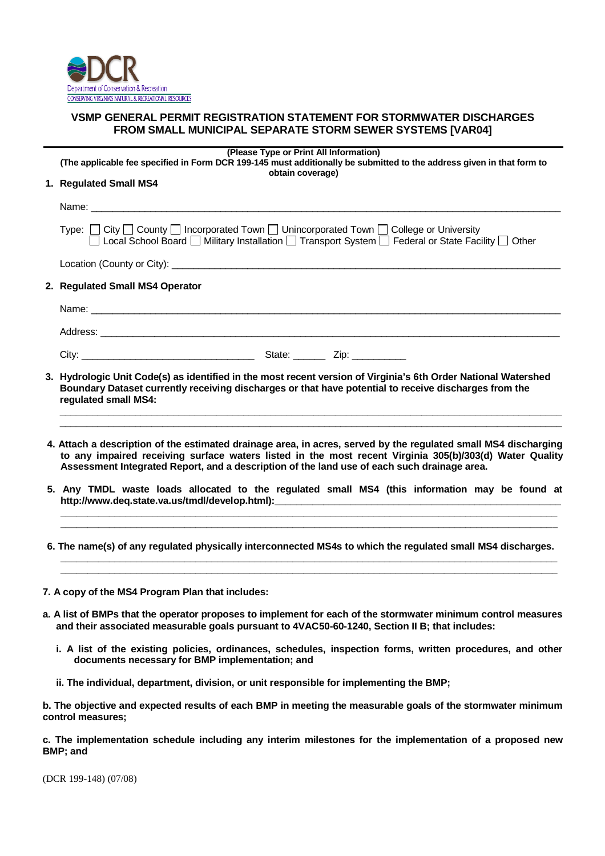

# **VSMP GENERAL PERMIT REGISTRATION STATEMENT FOR STORMWATER DISCHARGES FROM SMALL MUNICIPAL SEPARATE STORM SEWER SYSTEMS [VAR04]**

| (The applicable fee specified in Form DCR 199-145 must additionally be submitted to the address given in that form to                                                                                                                                                                                                                                                                                      |  |  |  |
|------------------------------------------------------------------------------------------------------------------------------------------------------------------------------------------------------------------------------------------------------------------------------------------------------------------------------------------------------------------------------------------------------------|--|--|--|
| obtain coverage)<br>1. Regulated Small MS4                                                                                                                                                                                                                                                                                                                                                                 |  |  |  |
|                                                                                                                                                                                                                                                                                                                                                                                                            |  |  |  |
| Type: □ City □ County □ Incorporated Town □ Unincorporated Town □ College or University<br>□ Local School Board □ Military Installation □ Transport System □ Federal or State Facility □ Other                                                                                                                                                                                                             |  |  |  |
|                                                                                                                                                                                                                                                                                                                                                                                                            |  |  |  |
| 2. Regulated Small MS4 Operator                                                                                                                                                                                                                                                                                                                                                                            |  |  |  |
|                                                                                                                                                                                                                                                                                                                                                                                                            |  |  |  |
|                                                                                                                                                                                                                                                                                                                                                                                                            |  |  |  |
|                                                                                                                                                                                                                                                                                                                                                                                                            |  |  |  |
| 3. Hydrologic Unit Code(s) as identified in the most recent version of Virginia's 6th Order National Watershed<br>Boundary Dataset currently receiving discharges or that have potential to receive discharges from the                                                                                                                                                                                    |  |  |  |
| regulated small MS4:<br>4. Attach a description of the estimated drainage area, in acres, served by the regulated small MS4 discharging<br>to any impaired receiving surface waters listed in the most recent Virginia 305(b)/303(d) Water Quality                                                                                                                                                         |  |  |  |
| Assessment Integrated Report, and a description of the land use of each such drainage area.<br>5. Any TMDL waste loads allocated to the regulated small MS4 (this information may be found at<br>http://www.deq.state.va.us/tmdl/develop.html):__________________________________<br><u> 1989 - Andrea Andrea Andrea Andrea Andrea Andrea Andrea Andrea Andrea Andrea Andrea Andrea Andrea Andrea Andr</u> |  |  |  |
| 6. The name(s) of any regulated physically interconnected MS4s to which the regulated small MS4 discharges.                                                                                                                                                                                                                                                                                                |  |  |  |

- **i. A list of the existing policies, ordinances, schedules, inspection forms, written procedures, and other documents necessary for BMP implementation; and**
- **ii. The individual, department, division, or unit responsible for implementing the BMP;**

**b. The objective and expected results of each BMP in meeting the measurable goals of the stormwater minimum control measures;**

**c. The implementation schedule including any interim milestones for the implementation of a proposed new BMP; and**

(DCR 199-148) (07/08)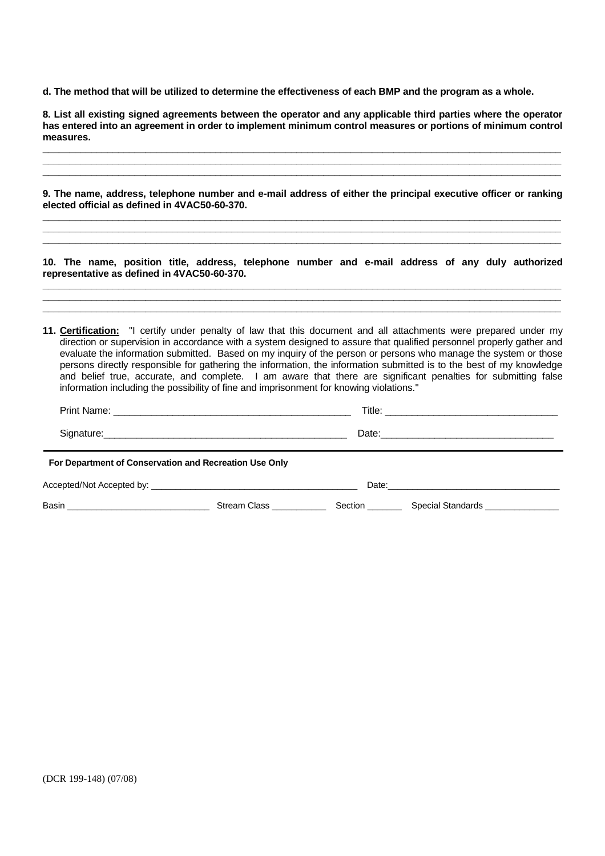**d. The method that will be utilized to determine the effectiveness of each BMP and the program as a whole.**

| 8. List all existing signed agreements between the operator and any applicable third parties where the operator<br>has entered into an agreement in order to implement minimum control measures or portions of minimum control<br>measures. |                                                                                         |  |                                                                                                                                                                                                                                                                                                                                                                                                                                                                                                                                                                                                      |  |  |
|---------------------------------------------------------------------------------------------------------------------------------------------------------------------------------------------------------------------------------------------|-----------------------------------------------------------------------------------------|--|------------------------------------------------------------------------------------------------------------------------------------------------------------------------------------------------------------------------------------------------------------------------------------------------------------------------------------------------------------------------------------------------------------------------------------------------------------------------------------------------------------------------------------------------------------------------------------------------------|--|--|
| elected official as defined in 4VAC50-60-370.                                                                                                                                                                                               |                                                                                         |  | 9. The name, address, telephone number and e-mail address of either the principal executive officer or ranking                                                                                                                                                                                                                                                                                                                                                                                                                                                                                       |  |  |
| representative as defined in 4VAC50-60-370.                                                                                                                                                                                                 |                                                                                         |  | 10. The name, position title, address, telephone number and e-mail address of any duly authorized                                                                                                                                                                                                                                                                                                                                                                                                                                                                                                    |  |  |
|                                                                                                                                                                                                                                             | information including the possibility of fine and imprisonment for knowing violations." |  | 11. Certification: "I certify under penalty of law that this document and all attachments were prepared under my<br>direction or supervision in accordance with a system designed to assure that qualified personnel properly gather and<br>evaluate the information submitted. Based on my inquiry of the person or persons who manage the system or those<br>persons directly responsible for gathering the information, the information submitted is to the best of my knowledge<br>and belief true, accurate, and complete. I am aware that there are significant penalties for submitting false |  |  |
|                                                                                                                                                                                                                                             |                                                                                         |  |                                                                                                                                                                                                                                                                                                                                                                                                                                                                                                                                                                                                      |  |  |
|                                                                                                                                                                                                                                             |                                                                                         |  |                                                                                                                                                                                                                                                                                                                                                                                                                                                                                                                                                                                                      |  |  |
| For Department of Conservation and Recreation Use Only                                                                                                                                                                                      |                                                                                         |  |                                                                                                                                                                                                                                                                                                                                                                                                                                                                                                                                                                                                      |  |  |
|                                                                                                                                                                                                                                             |                                                                                         |  |                                                                                                                                                                                                                                                                                                                                                                                                                                                                                                                                                                                                      |  |  |
|                                                                                                                                                                                                                                             |                                                                                         |  |                                                                                                                                                                                                                                                                                                                                                                                                                                                                                                                                                                                                      |  |  |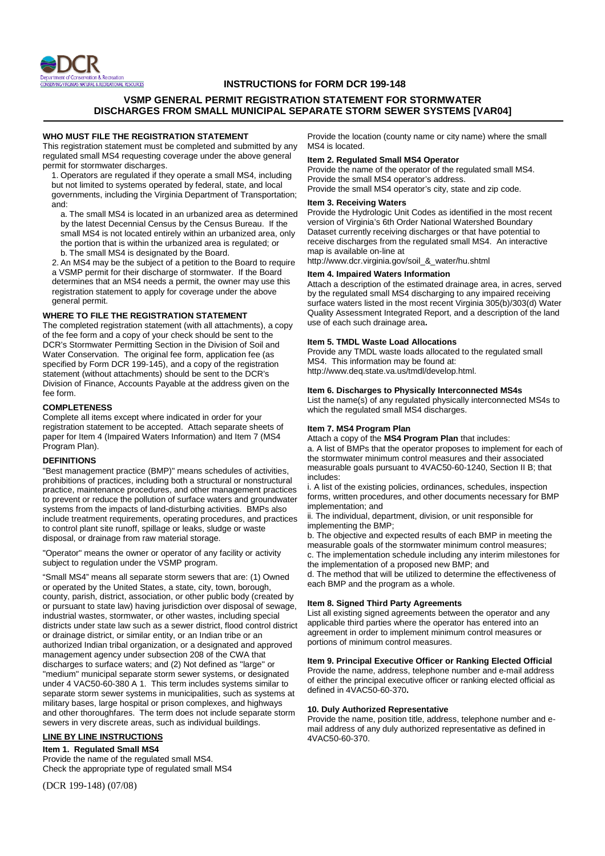

# **INSTRUCTIONS for FORM DCR 199-148**

# **VSMP GENERAL PERMIT REGISTRATION STATEMENT FOR STORMWATER DISCHARGES FROM SMALL MUNICIPAL SEPARATE STORM SEWER SYSTEMS [VAR04]**

### **WHO MUST FILE THE REGISTRATION STATEMENT**

This registration statement must be completed and submitted by any regulated small MS4 requesting coverage under the above general permit for stormwater discharges.

1. Operators are regulated if they operate a small MS4, including but not limited to systems operated by federal, state, and local governments, including the Virginia Department of Transportation; and:

a. The small MS4 is located in an urbanized area as determined by the latest Decennial Census by the Census Bureau. If the small MS4 is not located entirely within an urbanized area, only the portion that is within the urbanized area is regulated; or b. The small MS4 is designated by the Board.

2. An MS4 may be the subject of a petition to the Board to require a VSMP permit for their discharge of stormwater. If the Board determines that an MS4 needs a permit, the owner may use this registration statement to apply for coverage under the above general permit.

### **WHERE TO FILE THE REGISTRATION STATEMENT**

The completed registration statement (with all attachments), a copy of the fee form and a copy of your check should be sent to the DCR's Stormwater Permitting Section in the Division of Soil and Water Conservation. The original fee form, application fee (as specified by Form DCR 199-145), and a copy of the registration statement (without attachments) should be sent to the DCR's Division of Finance, Accounts Payable at the address given on the fee form.

#### **COMPLETENESS**

Complete all items except where indicated in order for your registration statement to be accepted. Attach separate sheets of paper for Item 4 (Impaired Waters Information) and Item 7 (MS4 Program Plan).

# **DEFINITIONS**

"Best management practice (BMP)" means schedules of activities, prohibitions of practices, including both a structural or nonstructural practice, maintenance procedures, and other management practices to prevent or reduce the pollution of surface waters and groundwater systems from the impacts of land-disturbing activities. BMPs also include treatment requirements, operating procedures, and practices to control plant site runoff, spillage or leaks, sludge or waste disposal, or drainage from raw material storage.

"Operator" means the owner or operator of any facility or activity subject to regulation under the VSMP program.

"Small MS4" means all separate storm sewers that are: (1) Owned or operated by the United States, a state, city, town, borough, county, parish, district, association, or other public body (created by or pursuant to state law) having jurisdiction over disposal of sewage, industrial wastes, stormwater, or other wastes, including special districts under state law such as a sewer district, flood control district or drainage district, or similar entity, or an Indian tribe or an authorized Indian tribal organization, or a designated and approved management agency under subsection 208 of the CWA that discharges to surface waters; and (2) Not defined as ''large'' or "medium" municipal separate storm sewer systems, or designated under 4 VAC50-60-380 A 1. This term includes systems similar to separate storm sewer systems in municipalities, such as systems at military bases, large hospital or prison complexes, and highways and other thoroughfares. The term does not include separate storm sewers in very discrete areas, such as individual buildings.

### **LINE BY LINE INSTRUCTIONS**

## **Item 1. Regulated Small MS4**

Provide the name of the regulated small MS4. Check the appropriate type of regulated small MS4

(DCR 199-148) (07/08)

Provide the location (county name or city name) where the small MS4 is located.

#### **Item 2. Regulated Small MS4 Operator**

Provide the name of the operator of the regulated small MS4. Provide the small MS4 operator's address. Provide the small MS4 operator's city, state and zip code.

# **Item 3. Receiving Waters**

Provide the Hydrologic Unit Codes as identified in the most recent version of Virginia's 6th Order National Watershed Boundary Dataset currently receiving discharges or that have potential to receive discharges from the regulated small MS4. An interactive map is available on-line at

http://www.dcr.virginia.gov/soil\_&\_water/hu.shtml

### **Item 4. Impaired Waters Information**

Attach a description of the estimated drainage area, in acres, served by the regulated small MS4 discharging to any impaired receiving surface waters listed in the most recent Virginia 305(b)/303(d) Water Quality Assessment Integrated Report, and a description of the land use of each such drainage area**.**

#### **Item 5. TMDL Waste Load Allocations**

Provide any TMDL waste loads allocated to the regulated small MS4. This information may be found at: http://www.deq.state.va.us/tmdl/develop.html.

### **Item 6. Discharges to Physically Interconnected MS4s**

List the name(s) of any regulated physically interconnected MS4s to which the regulated small MS4 discharges.

## **Item 7. MS4 Program Plan**

Attach a copy of the **MS4 Program Plan** that includes: a. A list of BMPs that the operator proposes to implement for each of the stormwater minimum control measures and their associated measurable goals pursuant to 4VAC50-60-1240, Section II B; that includes:

i. A list of the existing policies, ordinances, schedules, inspection forms, written procedures, and other documents necessary for BMP implementation; and

ii. The individual, department, division, or unit responsible for implementing the BMP;

b. The objective and expected results of each BMP in meeting the measurable goals of the stormwater minimum control measures; c. The implementation schedule including any interim milestones for the implementation of a proposed new BMP; and

d. The method that will be utilized to determine the effectiveness of each BMP and the program as a whole.

# **Item 8. Signed Third Party Agreements**

List all existing signed agreements between the operator and any applicable third parties where the operator has entered into an agreement in order to implement minimum control measures or portions of minimum control measures.

### **Item 9. Principal Executive Officer or Ranking Elected Official**

Provide the name, address, telephone number and e-mail address of either the principal executive officer or ranking elected official as defined in 4VAC50-60-370**.**

#### **10. Duly Authorized Representative**

Provide the name, position title, address, telephone number and email address of any duly authorized representative as defined in 4VAC50-60-370.